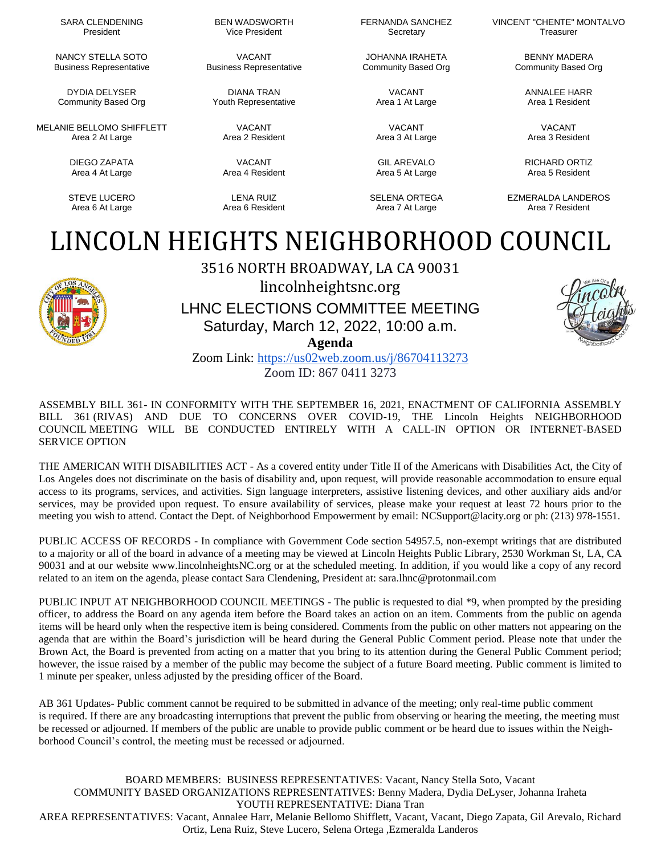SARA CLENDENING President

NANCY STELLA SOTO Business Representative

DYDIA DELYSER Community Based Org

MELANIE BELLOMO SHIFFLETT Area 2 At Large

> DIEGO ZAPATA Area 4 At Large

STEVE LUCERO Area 6 At Large

BEN WADSWORTH Vice President

VACANT Business Representative

DIANA TRAN Youth Representative

> VACANT Area 2 Resident

VACANT Area 4 Resident

LENA RUIZ Area 6 Resident FERNANDA SANCHEZ **Secretary** 

JOHANNA IRAHETA Community Based Org

> VACANT Area 1 At Large

VACANT Area 3 At Large

GIL AREVALO Area 5 At Large

SELENA ORTEGA Area 7 At Large

VINCENT "CHENTE" MONTALVO **Treasurer** 

> BENNY MADERA Community Based Org

> > ANNALEE HARR Area 1 Resident

VACANT Area 3 Resident

RICHARD ORTIZ Area 5 Resident

EZMERALDA LANDEROS Area 7 Resident

## LINCOLN HEIGHTS NEIGHBORHOOD COUNCIL



3516 NORTH BROADWAY, LA CA 90031 lincolnheightsnc.org LHNC ELECTIONS COMMITTEE MEETING

Saturday, March 12, 2022, 10:00 a.m.

**Agenda**

Zoom Link: <https://us02web.zoom.us/j/86704113273> Zoom ID: 867 0411 3273

ASSEMBLY BILL 361- IN CONFORMITY WITH THE SEPTEMBER 16, 2021, ENACTMENT OF CALIFORNIA ASSEMBLY BILL 361 (RIVAS) AND DUE TO CONCERNS OVER COVID-19, THE Lincoln Heights NEIGHBORHOOD COUNCIL MEETING WILL BE CONDUCTED ENTIRELY WITH A CALL-IN OPTION OR INTERNET-BASED SERVICE OPTION

THE AMERICAN WITH DISABILITIES ACT - As a covered entity under Title II of the Americans with Disabilities Act, the City of Los Angeles does not discriminate on the basis of disability and, upon request, will provide reasonable accommodation to ensure equal access to its programs, services, and activities. Sign language interpreters, assistive listening devices, and other auxiliary aids and/or services, may be provided upon request. To ensure availability of services, please make your request at least 72 hours prior to the meeting you wish to attend. Contact the Dept. of Neighborhood Empowerment by email: [NCSupport@lacity.org](mailto:NCSupport@lacity.org) or ph: (213) 978-1551.

PUBLIC ACCESS OF RECORDS - In compliance with Government Code section 54957.5, non-exempt writings that are distributed to a majority or all of the board in advance of a meeting may be viewed at Lincoln Heights Public Library, 2530 Workman St, LA, CA 90031 and at our website [www.lincolnheightsNC.org](http://www.lincolnheightsnc.org/) or at the scheduled meeting. In addition, if you would like a copy of any record related to an item on the agenda, please contact Sara Clendening, President at: [sara.lhnc@protonmail.com](mailto:sara.lhnc@protonmail.com)

PUBLIC INPUT AT NEIGHBORHOOD COUNCIL MEETINGS - The public is requested to dial \*9, when prompted by the presiding officer, to address the Board on any agenda item before the Board takes an action on an item. Comments from the public on agenda items will be heard only when the respective item is being considered. Comments from the public on other matters not appearing on the agenda that are within the Board's jurisdiction will be heard during the General Public Comment period. Please note that under the Brown Act, the Board is prevented from acting on a matter that you bring to its attention during the General Public Comment period; however, the issue raised by a member of the public may become the subject of a future Board meeting. Public comment is limited to 1 minute per speaker, unless adjusted by the presiding officer of the Board.

AB 361 Updates- Public comment cannot be required to be submitted in advance of the meeting; only real-time public comment is required. If there are any broadcasting interruptions that prevent the public from observing or hearing the meeting, the meeting must be recessed or adjourned. If members of the public are unable to provide public comment or be heard due to issues within the Neighborhood Council's control, the meeting must be recessed or adjourned.

BOARD MEMBERS: BUSINESS REPRESENTATIVES: Vacant, Nancy Stella Soto, Vacant COMMUNITY BASED ORGANIZATIONS REPRESENTATIVES: Benny Madera, Dydia DeLyser, Johanna Iraheta YOUTH REPRESENTATIVE: Diana Tran AREA REPRESENTATIVES: Vacant, Annalee Harr, Melanie Bellomo Shifflett, Vacant, Vacant, Diego Zapata, Gil Arevalo, Richard Ortiz, Lena Ruiz, Steve Lucero, Selena Ortega ,Ezmeralda Landeros